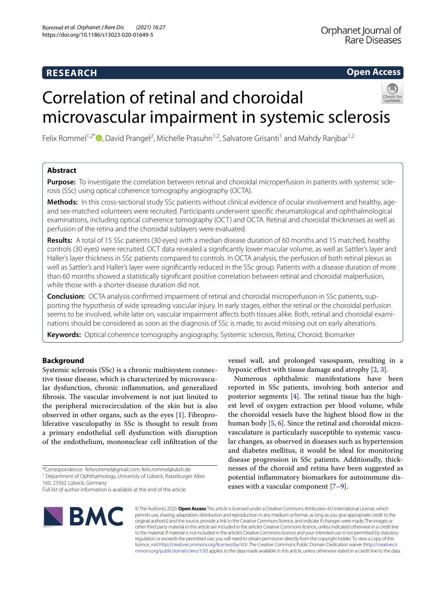# **RESEARCH**

**Open Access**

# Correlation of retinal and choroidal microvascular impairment in systemic sclerosis



Felix Rommel<sup>1[,](http://orcid.org/0000-0003-2584-0607)2\*</sup><sup>®</sup>, David Prangel<sup>2</sup>, Michelle Prasuhn<sup>1,2</sup>, Salvatore Grisanti<sup>1</sup> and Mahdy Ranjbar<sup>1,2</sup>

# **Abstract**

**Purpose:** To investigate the correlation between retinal and choroidal microperfusion in patients with systemic sclerosis (SSc) using optical coherence tomography angiography (OCTA).

**Methods:** In this cross-sectional study SSc patients without clinical evidence of ocular involvement and healthy, ageand sex-matched volunteers were recruited. Participants underwent specifc rheumatological and ophthalmological examinations, including optical coherence tomography (OCT) and OCTA. Retinal and choroidal thicknesses as well as perfusion of the retina and the choroidal sublayers were evaluated.

**Results:** A total of 15 SSc patients (30 eyes) with a median disease duration of 60 months and 15 matched, healthy controls (30 eyes) were recruited. OCT data revealed a signifcantly lower macular volume, as well as Sattler's layer and Haller's layer thickness in SSc patients compared to controls. In OCTA analysis, the perfusion of both retinal plexus as well as Sattler's and Haller's layer were signifcantly reduced in the SSc group. Patients with a disease duration of more than 60 months showed a statistically signifcant positive correlation between retinal and choroidal malperfusion, while those with a shorter disease duration did not.

**Conclusion:** OCTA analysis confrmed impairment of retinal and choroidal microperfusion in SSc patients, supporting the hypothesis of wide spreading vascular injury. In early stages, either the retinal or the choroidal perfusion seems to be involved, while later on, vascular impairment afects both tissues alike. Both, retinal and choroidal examinations should be considered as soon as the diagnosis of SSc is made, to avoid missing out on early alterations.

**Keywords:** Optical coherence tomography angiography, Systemic sclerosis, Retina, Choroid, Biomarker

# **Background**

Systemic sclerosis (SSc) is a chronic multisystem connective tissue disease, which is characterized by microvascular dysfunction, chronic infammation, and generalized fibrosis. The vascular involvement is not just limited to the peripheral microcirculation of the skin but is also observed in other organs, such as the eyes [[1\]](#page-7-0). Fibroproliferative vasculopathy in SSc is thought to result from a primary endothelial cell dysfunction with disruption of the endothelium, mononuclear cell infltration of the

\*Correspondence: felixrommel@gmail.com; felix.rommel@uksh.de

<sup>1</sup> Department of Ophthalmology, University of Lübeck, Ratzeburger Allee

160, 23562 Lübeck, Germany

Full list of author information is available at the end of the article



vessel wall, and prolonged vasospasm, resulting in a hypoxic efect with tissue damage and atrophy [[2](#page-7-1), [3\]](#page-7-2).

Numerous ophthalmic manifestations have been reported in SSc patients, involving both anterior and posterior segments  $[4]$  $[4]$ . The retinal tissue has the highest level of oxygen extraction per blood volume, while the choroidal vessels have the highest blood flow in the human body [[5,](#page-7-4) [6](#page-7-5)]. Since the retinal and choroidal microvasculature is particularly susceptible to systemic vascular changes, as observed in diseases such as hypertension and diabetes mellitus, it would be ideal for monitoring disease progression in SSc patients. Additionally, thicknesses of the choroid and retina have been suggested as potential infammatory biomarkers for autoimmune diseases with a vascular component  $[7-9]$  $[7-9]$ .

© The Author(s) 2020. **Open Access** This article is licensed under a Creative Commons Attribution 4.0 International License, which permits use, sharing, adaptation, distribution and reproduction in any medium or format, as long as you give appropriate credit to the original author(s) and the source, provide a link to the Creative Commons licence, and indicate if changes were made. The images or other third party material in this article are included in the article's Creative Commons licence, unless indicated otherwise in a credit line to the material. If material is not included in the article's Creative Commons licence and your intended use is not permitted by statutory regulation or exceeds the permitted use, you will need to obtain permission directly from the copyright holder. To view a copy of this licence, visit [http://creativecommons.org/licenses/by/4.0/.](http://creativecommons.org/licenses/by/4.0/) The Creative Commons Public Domain Dedication waiver ([http://creativeco](http://creativecommons.org/publicdomain/zero/1.0/) [mmons.org/publicdomain/zero/1.0/](http://creativecommons.org/publicdomain/zero/1.0/)) applies to the data made available in this article, unless otherwise stated in a credit line to the data.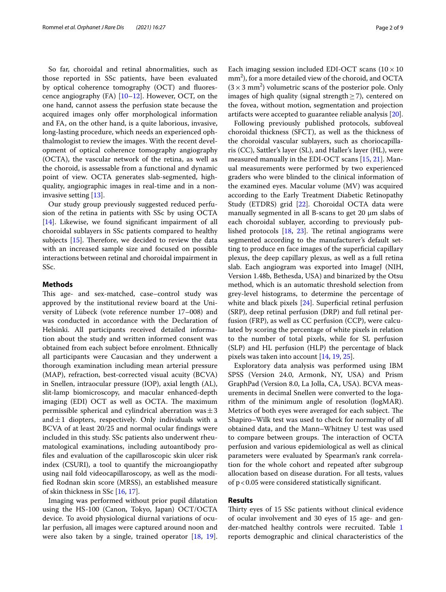So far, choroidal and retinal abnormalities, such as those reported in SSc patients, have been evaluated by optical coherence tomography (OCT) and fuorescence angiography  $(FA)$  [\[10](#page-7-8)[–12](#page-7-9)]. However, OCT, on the one hand, cannot assess the perfusion state because the acquired images only offer morphological information and FA, on the other hand, is a quite laborious, invasive, long-lasting procedure, which needs an experienced ophthalmologist to review the images. With the recent development of optical coherence tomography angiography (OCTA), the vascular network of the retina, as well as the choroid, is assessable from a functional and dynamic point of view. OCTA generates slab-segmented, highquality, angiographic images in real-time and in a noninvasive setting [[13\]](#page-7-10).

Our study group previously suggested reduced perfusion of the retina in patients with SSc by using OCTA [[14\]](#page-7-11). Likewise, we found signifcant impairment of all choroidal sublayers in SSc patients compared to healthy subjects  $[15]$  $[15]$ . Therefore, we decided to review the data with an increased sample size and focused on possible interactions between retinal and choroidal impairment in SSc.

# **Methods**

This age- and sex-matched, case-control study was approved by the institutional review board at the University of Lübeck (vote reference number 17–008) and was conducted in accordance with the Declaration of Helsinki. All participants received detailed information about the study and written informed consent was obtained from each subject before enrolment. Ethnically all participants were Caucasian and they underwent a thorough examination including mean arterial pressure (MAP), refraction, best-corrected visual acuity (BCVA) in Snellen, intraocular pressure (IOP), axial length (AL), slit-lamp biomicroscopy, and macular enhanced-depth imaging (EDI) OCT as well as OCTA. The maximum permissible spherical and cylindrical aberration was $\pm 3$ and $\pm 1$  diopters, respectively. Only individuals with a BCVA of at least 20/25 and normal ocular fndings were included in this study. SSc patients also underwent rheumatological examinations, including autoantibody profles and evaluation of the capillaroscopic skin ulcer risk index (CSURI), a tool to quantify the microangiopathy using nail fold videocapillaroscopy, as well as the modifed Rodnan skin score (MRSS), an established measure of skin thickness in SSc [\[16,](#page-7-13) [17](#page-7-14)].

Imaging was performed without prior pupil dilatation using the HS-100 (Canon, Tokyo, Japan) OCT/OCTA device. To avoid physiological diurnal variations of ocular perfusion, all images were captured around noon and were also taken by a single, trained operator [[18,](#page-7-15) [19](#page-7-16)].

Each imaging session included EDI-OCT scans  $(10 \times 10)$  $\text{mm}^2$ ), for a more detailed view of the choroid, and OCTA  $(3 \times 3 \text{ mm}^2)$  volumetric scans of the posterior pole. Only images of high quality (signal strength $\geq$ 7), centered on the fovea, without motion, segmentation and projection artifacts were accepted to guarantee reliable analysis [\[20](#page-7-17)].

Following previously published protocols, subfoveal choroidal thickness (SFCT), as well as the thickness of the choroidal vascular sublayers, such as choriocapillaris (CC), Sattler's layer (SL), and Haller's layer (HL), were measured manually in the EDI-OCT scans [[15,](#page-7-12) [21](#page-7-18)]. Manual measurements were performed by two experienced graders who were blinded to the clinical information of the examined eyes. Macular volume (MV) was acquired according to the Early Treatment Diabetic Retinopathy Study (ETDRS) grid [[22\]](#page-7-19). Choroidal OCTA data were manually segmented in all B-scans to get 20  $\mu$ m slabs of each choroidal sublayer, according to previously published protocols  $[18, 23]$  $[18, 23]$  $[18, 23]$  $[18, 23]$  $[18, 23]$ . The retinal angiograms were segmented according to the manufacturer's default setting to produce en face images of the superfcial capillary plexus, the deep capillary plexus, as well as a full retina slab. Each angiogram was exported into ImageJ (NIH, Version 1.48b, Bethesda, USA) and binarized by the Otsu method, which is an automatic threshold selection from grey-level histograms, to determine the percentage of white and black pixels [\[24\]](#page-7-21). Superficial retinal perfusion (SRP), deep retinal perfusion (DRP) and full retinal perfusion (FRP), as well as CC perfusion (CCP), were calculated by scoring the percentage of white pixels in relation to the number of total pixels, while for SL perfusion (SLP) and HL perfusion (HLP) the percentage of black pixels was taken into account [\[14](#page-7-11), [19,](#page-7-16) [25](#page-7-22)].

Exploratory data analysis was performed using IBM SPSS (Version 24.0, Armonk, NY, USA) and Prism GraphPad (Version 8.0, La Jolla, CA, USA). BCVA measurements in decimal Snellen were converted to the logarithm of the minimum angle of resolution (logMAR). Metrics of both eyes were averaged for each subject. The Shapiro–Wilk test was used to check for normality of all obtained data, and the Mann–Whitney U test was used to compare between groups. The interaction of OCTA perfusion and various epidemiological as well as clinical parameters were evaluated by Spearman's rank correlation for the whole cohort and repeated after subgroup allocation based on disease duration. For all tests, values of  $p < 0.05$  were considered statistically significant.

## **Results**

Thirty eyes of 15 SSc patients without clinical evidence of ocular involvement and 30 eyes of 15 age- and gender-matched healthy controls were recruited. Table [1](#page-2-0) reports demographic and clinical characteristics of the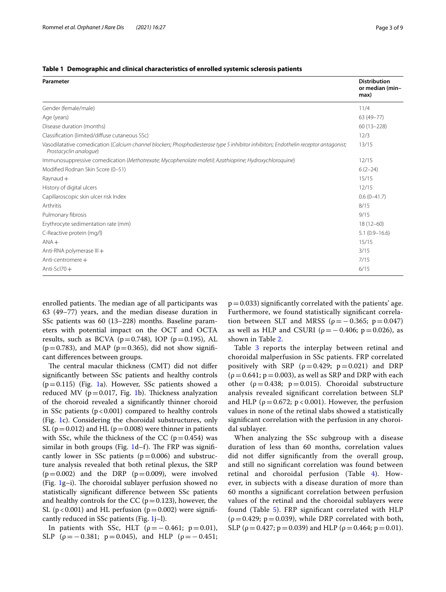<span id="page-2-0"></span>

| Table 1   Demographic and clinical characteristics of enrolled systemic sclerosis patients |  |  |
|--------------------------------------------------------------------------------------------|--|--|
|                                                                                            |  |  |

| Parameter                                                                                                                                                       | <b>Distribution</b><br>or median (min-<br>max) |
|-----------------------------------------------------------------------------------------------------------------------------------------------------------------|------------------------------------------------|
| Gender (female/male)                                                                                                                                            | 11/4                                           |
| Age (years)                                                                                                                                                     | 63 (49-77)                                     |
| Disease duration (months)                                                                                                                                       | $60(13 - 228)$                                 |
| Classification (limited/diffuse cutaneous SSc)                                                                                                                  | 12/3                                           |
| Vasodilatative comedication (Calcium channel blockers; Phosphodiesterase type 5 inhibitor inhibitors; Endothelin receptor antagonist;<br>Prostacyclin analogue) | 13/15                                          |
| Immunosuppressive comedication (Methotrexate; Mycophenolate mofetil; Azathioprine; Hydroxychloroquine)                                                          | 12/15                                          |
| Modified Rodnan Skin Score (0-51)                                                                                                                               | $6(2-24)$                                      |
| $Raynaud +$                                                                                                                                                     | 15/15                                          |
| History of digital ulcers                                                                                                                                       | 12/15                                          |
| Capillaroscopic skin ulcer risk Index                                                                                                                           | $0.6(0-41.7)$                                  |
| Arthritis                                                                                                                                                       | 8/15                                           |
| Pulmonary fibrosis                                                                                                                                              | 9/15                                           |
| Erythrocyte sedimentation rate (mm)                                                                                                                             | $18(12 - 60)$                                  |
| C-Reactive protein (mg/l)                                                                                                                                       | $5.1(0.9 - 16.6)$                              |
| $ANA +$                                                                                                                                                         | 15/15                                          |
| Anti-RNA polymerase III +                                                                                                                                       | 3/15                                           |
| Anti-centromere $+$                                                                                                                                             | 7/15                                           |
| Anti-Scl $70+$                                                                                                                                                  | 6/15                                           |

enrolled patients. The median age of all participants was 63 (49–77) years, and the median disease duration in SSc patients was 60 (13–228) months. Baseline parameters with potential impact on the OCT and OCTA results, such as BCVA ( $p=0.748$ ), IOP ( $p=0.195$ ), AL  $(p=0.783)$ , and MAP ( $p=0.365$ ), did not show significant diferences between groups.

The central macular thickness (CMT) did not differ signifcantly between SSc patients and healthy controls  $(p=0.115)$  (Fig. [1a](#page-3-0)). However, SSc patients showed a reduced MV ( $p=0.017$  $p=0.017$  $p=0.017$ , Fig. 1b). Thickness analyzation of the choroid revealed a signifcantly thinner choroid in SSc patients  $(p < 0.001)$  compared to healthy controls (Fig. [1c](#page-3-0)). Considering the choroidal substructures, only SL ( $p=0.012$ ) and HL ( $p=0.008$ ) were thinner in patients with SSc, while the thickness of the CC ( $p=0.454$ ) was similar in both groups (Fig.  $1d-f$  $1d-f$ ). The FRP was significantly lower in SSc patients  $(p=0.006)$  and substructure analysis revealed that both retinal plexus, the SRP  $(p=0.002)$  and the DRP  $(p=0.009)$ , were involved (Fig.  $1g-i$  $1g-i$ ). The choroidal sublayer perfusion showed no statistically signifcant diference between SSc patients and healthy controls for the CC ( $p=0.123$ ), however, the SL ( $p < 0.001$ ) and HL perfusion ( $p = 0.002$ ) were significantly reduced in SSc patients (Fig. [1](#page-3-0)j–l).

In patients with SSc, HLT ( $\rho = -0.461$ ;  $p = 0.01$ ), SLP ( $\rho = -0.381$ ;  $p = 0.045$ ), and HLP ( $\rho = -0.451$ ;

 $p=0.033$ ) significantly correlated with the patients' age. Furthermore, we found statistically signifcant correlation between SLT and MRSS ( $\rho = -0.365$ ;  $p = 0.047$ ) as well as HLP and CSURI ( $\rho = -0.406$ ;  $p = 0.026$ ), as shown in Table [2.](#page-4-0)

Table [3](#page-5-0) reports the interplay between retinal and choroidal malperfusion in SSc patients. FRP correlated positively with SRP ( $\rho = 0.429$ ;  $p = 0.021$ ) and DRP  $(p=0.641; p=0.003)$ , as well as SRP and DRP with each other ( $\rho = 0.438$ ;  $p = 0.015$ ). Choroidal substructure analysis revealed signifcant correlation between SLP and HLP ( $\rho = 0.672$ ; p < 0.001). However, the perfusion values in none of the retinal slabs showed a statistically signifcant correlation with the perfusion in any choroidal sublayer.

When analyzing the SSc subgroup with a disease duration of less than 60 months, correlation values did not difer signifcantly from the overall group, and still no signifcant correlation was found between retinal and choroidal perfusion (Table [4\)](#page-5-1). However, in subjects with a disease duration of more than 60 months a signifcant correlation between perfusion values of the retinal and the choroidal sublayers were found (Table [5\)](#page-6-0). FRP signifcant correlated with HLP  $(\rho=0.429; p=0.039)$ , while DRP correlated with both, SLP ( $\rho = 0.427$ ;  $p = 0.039$ ) and HLP ( $\rho = 0.464$ ;  $p = 0.01$ ).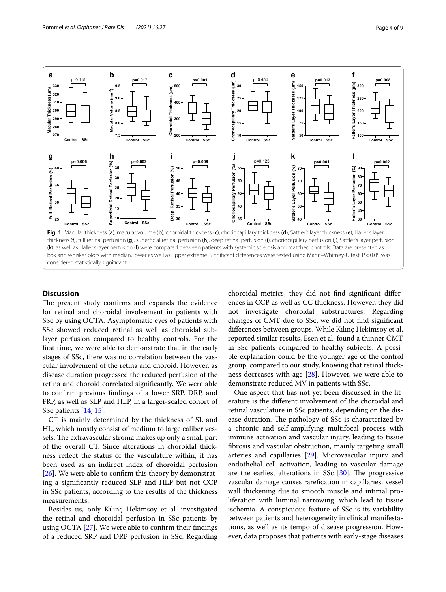

# <span id="page-3-0"></span>**Discussion**

The present study confirms and expands the evidence for retinal and choroidal involvement in patients with SSc by using OCTA. Asymptomatic eyes of patients with SSc showed reduced retinal as well as choroidal sublayer perfusion compared to healthy controls. For the frst time, we were able to demonstrate that in the early stages of SSc, there was no correlation between the vascular involvement of the retina and choroid. However, as disease duration progressed the reduced perfusion of the retina and choroid correlated signifcantly. We were able to confrm previous fndings of a lower SRP, DRP, and FRP, as well as SLP and HLP, in a larger-scaled cohort of SSc patients [[14,](#page-7-11) [15\]](#page-7-12).

CT is mainly determined by the thickness of SL and HL, which mostly consist of medium to large caliber vessels. The extravascular stroma makes up only a small part of the overall CT. Since alterations in choroidal thickness refect the status of the vasculature within, it has been used as an indirect index of choroidal perfusion [[26\]](#page-7-23). We were able to confirm this theory by demonstrating a signifcantly reduced SLP and HLP but not CCP in SSc patients, according to the results of the thickness measurements.

Besides us, only Kılınç Hekimsoy et al. investigated the retinal and choroidal perfusion in SSc patients by using OCTA [[27\]](#page-7-24). We were able to confrm their fndings of a reduced SRP and DRP perfusion in SSc. Regarding

choroidal metrics, they did not fnd signifcant diferences in CCP as well as CC thickness. However, they did not investigate choroidal substructures. Regarding changes of CMT due to SSc, we did not fnd signifcant diferences between groups. While Kılınç Hekimsoy et al. reported similar results, Esen et al. found a thinner CMT in SSc patients compared to healthy subjects. A possible explanation could be the younger age of the control group, compared to our study, knowing that retinal thickness decreases with age  $[28]$ . However, we were able to demonstrate reduced MV in patients with SSc.

One aspect that has not yet been discussed in the literature is the diferent involvement of the choroidal and retinal vasculature in SSc patients, depending on the disease duration. The pathology of SSc is characterized by a chronic and self-amplifying multifocal process with immune activation and vascular injury, leading to tissue fbrosis and vascular obstruction, mainly targeting small arteries and capillaries [[29\]](#page-8-1). Microvascular injury and endothelial cell activation, leading to vascular damage are the earliest alterations in SSc  $[30]$  $[30]$ . The progressive vascular damage causes rarefcation in capillaries, vessel wall thickening due to smooth muscle and intimal proliferation with luminal narrowing, which lead to tissue ischemia. A conspicuous feature of SSc is its variability between patients and heterogeneity in clinical manifestations, as well as its tempo of disease progression. However, data proposes that patients with early-stage diseases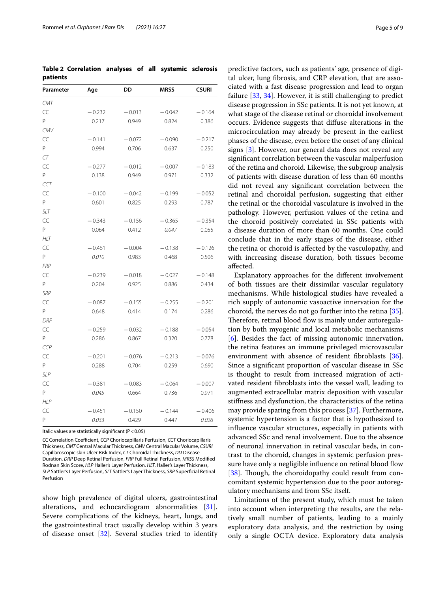<span id="page-4-0"></span>**Table 2 Correlation analyses of all systemic sclerosis patients**

| Parameter  | DD<br>MRSS<br>Age |          |          | <b>CSURI</b> |  |
|------------|-------------------|----------|----------|--------------|--|
| CMT        |                   |          |          |              |  |
| CC         | $-0.232$          | $-0.013$ | $-0.042$ | $-0.164$     |  |
| P          | 0.217             | 0.949    | 0.824    | 0.386        |  |
| CMV        |                   |          |          |              |  |
| CC         | $-0.141$          | $-0.072$ | $-0.090$ | $-0.217$     |  |
| P          | 0.994             | 0.706    | 0.637    | 0.250        |  |
| CT         |                   |          |          |              |  |
| CC         | $-0.277$          | $-0.012$ | $-0.007$ | $-0.183$     |  |
| P          | 0.138             | 0.949    | 0.971    | 0.332        |  |
| CCT        |                   |          |          |              |  |
| CC         | $-0.100$          | $-0.042$ | $-0.199$ | $-0.052$     |  |
| P          | 0.601             | 0.825    | 0.293    | 0.787        |  |
| <b>SLT</b> |                   |          |          |              |  |
| CC         | $-0.343$          | $-0.156$ | $-0.365$ | $-0.354$     |  |
| P          | 0.064             | 0.412    | 0.047    | 0.055        |  |
| <b>HLT</b> |                   |          |          |              |  |
| CC         | $-0.461$          | $-0.004$ | $-0.138$ | $-0.126$     |  |
| P          | 0.010             | 0.983    | 0.468    | 0.506        |  |
| <b>FRP</b> |                   |          |          |              |  |
| CC         | $-0.239$          | $-0.018$ | $-0.027$ | $-0.148$     |  |
| P          | 0.204             | 0.925    | 0.886    | 0.434        |  |
| <b>SRP</b> |                   |          |          |              |  |
| CC         | $-0.087$          | $-0.155$ | $-0.255$ | $-0.201$     |  |
| P          | 0.648             | 0.414    | 0.174    | 0.286        |  |
| <b>DRP</b> |                   |          |          |              |  |
| CC         | $-0.259$          | $-0.032$ | $-0.188$ | $-0.054$     |  |
| P.         | 0.286             | 0.867    | 0.320    | 0.778        |  |
| CCP        |                   |          |          |              |  |
| CC         | $-0.201$          | $-0.076$ | $-0.213$ | $-0.076$     |  |
| P          | 0.288             | 0.704    | 0.259    | 0.690        |  |
| SLP        |                   |          |          |              |  |
| CC         | $-0.381$          | $-0.083$ | $-0.064$ | $-0.007$     |  |
| P          | 0.045             | 0.664    | 0.736    | 0.971        |  |
| <b>HLP</b> |                   |          |          |              |  |
| CC         | $-0.451$          | $-0.150$ | $-0.144$ | $-0.406$     |  |
| P          | 0.033             | 0.429    | 0.447    | 0.026        |  |

Italic values are statistically significant ( $P < 0.05$ )

*CC* Correlation Coefficient, *CCP* Choriocapillaris Perfusion, *CCT* Choriocapillaris Thickness, *CMT* Central Macular Thickness, *CMV* Central Macular Volume, *CSURI* Capillaroscopic skin Ulcer Risk Index, *CT* Choroidal Thickness, *DD* Disease Duration, *DRP* Deep Retinal Perfusion, *FRP* Full Retinal Perfusion, *MRSS* Modifed Rodnan Skin Score, *HLP* Haller's Layer Perfusion, *HLT*, Haller's Layer Thickness, *SLP* Sattler's Layer Perfusion, *SLT* Sattler's Layer Thickness, *SRP* Superfcial Retinal Perfusion

show high prevalence of digital ulcers, gastrointestinal alterations, and echocardiogram abnormalities [\[31](#page-8-3)]. Severe complications of the kidneys, heart, lungs, and the gastrointestinal tract usually develop within 3 years of disease onset [[32\]](#page-8-4). Several studies tried to identify predictive factors, such as patients' age, presence of digital ulcer, lung fbrosis, and CRP elevation, that are associated with a fast disease progression and lead to organ failure [\[33,](#page-8-5) [34\]](#page-8-6). However, it is still challenging to predict disease progression in SSc patients. It is not yet known, at what stage of the disease retinal or choroidal involvement occurs. Evidence suggests that difuse alterations in the microcirculation may already be present in the earliest phases of the disease, even before the onset of any clinical signs [[3](#page-7-2)]. However, our general data does not reveal any signifcant correlation between the vascular malperfusion of the retina and choroid. Likewise, the subgroup analysis of patients with disease duration of less than 60 months did not reveal any signifcant correlation between the retinal and choroidal perfusion, suggesting that either the retinal or the choroidal vasculature is involved in the pathology. However, perfusion values of the retina and the choroid positively correlated in SSc patients with a disease duration of more than 60 months. One could conclude that in the early stages of the disease, either the retina or choroid is afected by the vasculopathy, and with increasing disease duration, both tissues become afected.

Explanatory approaches for the diferent involvement of both tissues are their dissimilar vascular regulatory mechanisms. While histological studies have revealed a rich supply of autonomic vasoactive innervation for the choroid, the nerves do not go further into the retina [\[35](#page-8-7)]. Therefore, retinal blood flow is mainly under autoregulation by both myogenic and local metabolic mechanisms [[6\]](#page-7-5). Besides the fact of missing autonomic innervation, the retina features an immune privileged microvascular environment with absence of resident fibroblasts [\[36](#page-8-8)]. Since a signifcant proportion of vascular disease in SSc is thought to result from increased migration of activated resident fbroblasts into the vessel wall, leading to augmented extracellular matrix deposition with vascular stifness and dysfunction, the characteristics of the retina may provide sparing from this process [\[37](#page-8-9)]. Furthermore, systemic hypertension is a factor that is hypothesized to infuence vascular structures, especially in patients with advanced SSc and renal involvement. Due to the absence of neuronal innervation in retinal vascular beds, in contrast to the choroid, changes in systemic perfusion pressure have only a negligible influence on retinal blood flow [ $38$ ]. Though, the choroidopathy could result from concomitant systemic hypertension due to the poor autoregulatory mechanisms and from SSc itself.

Limitations of the present study, which must be taken into account when interpreting the results, are the relatively small number of patients, leading to a mainly exploratory data analysis, and the restriction by using only a single OCTA device. Exploratory data analysis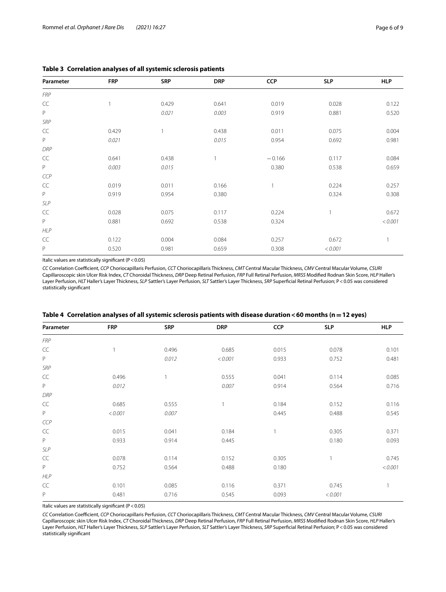| Parameter         | <b>FRP</b> | <b>SRP</b> | <b>DRP</b> | <b>CCP</b> | <b>SLP</b>     | <b>HLP</b> |
|-------------------|------------|------------|------------|------------|----------------|------------|
| <b>FRP</b>        |            |            |            |            |                |            |
| CC                |            | 0.429      | 0.641      | 0.019      | 0.028          | 0.122      |
| $\mathsf P$       |            | 0.021      | 0.003      | 0.919      | 0.881          | 0.520      |
| SRP               |            |            |            |            |                |            |
| CC                | 0.429      |            | 0.438      | 0.011      | 0.075          | 0.004      |
| P                 | 0.021      |            | 0.015      | 0.954      | 0.692          | 0.981      |
| DRP               |            |            |            |            |                |            |
| $\subset \subset$ | 0.641      | 0.438      |            | $-0.166$   | 0.117          | 0.084      |
| P                 | 0.003      | 0.015      |            | 0.380      | 0.538          | 0.659      |
| CCP               |            |            |            |            |                |            |
| $\subset \subset$ | 0.019      | 0.011      | 0.166      |            | 0.224          | 0.257      |
| $\mathsf P$       | 0.919      | 0.954      | 0.380      |            | 0.324          | 0.308      |
| <b>SLP</b>        |            |            |            |            |                |            |
| CC                | 0.028      | 0.075      | 0.117      | 0.224      | $\overline{1}$ | 0.672      |
| P                 | 0.881      | 0.692      | 0.538      | 0.324      |                | < 0.001    |
| <b>HLP</b>        |            |            |            |            |                |            |
| CC                | 0.122      | 0.004      | 0.084      | 0.257      | 0.672          |            |
| P                 | 0.520      | 0.981      | 0.659      | 0.308      | < 0.001        |            |

## <span id="page-5-0"></span>**Table 3 Correlation analyses of all systemic sclerosis patients**

Italic values are statistically signifcant (P<0.05)

*CC* Correlation Coefcient, *CCP* Choriocapillaris Perfusion, *CCT* Choriocapillaris Thickness, *CMT* Central Macular Thickness, *CMV* Central Macular Volume, *CSURI* Capillaroscopic skin Ulcer Risk Index, *CT* Choroidal Thickness, *DRP* Deep Retinal Perfusion, *FRP* Full Retinal Perfusion, *MRSS* Modifed Rodnan Skin Score, *HLP* Haller's Layer Perfusion, *HLT* Haller's Layer Thickness, *SLP* Sattler's Layer Perfusion, *SLT* Sattler's Layer Thickness, *SRP* Superfcial Retinal Perfusion; P<0.05 was considered statistically signifcant

| Parameter         | <b>FRP</b> | <b>SRP</b> | <b>DRP</b>     | <b>CCP</b> | <b>SLP</b> | <b>HLP</b> |
|-------------------|------------|------------|----------------|------------|------------|------------|
| <b>FRP</b>        |            |            |                |            |            |            |
| $\subset \subset$ |            | 0.496      | 0.685          | 0.015      | 0.078      | 0.101      |
| P                 |            | 0.012      | < 0.001        | 0.933      | 0.752      | 0.481      |
| SRP               |            |            |                |            |            |            |
| $\subset\subset$  | 0.496      |            | 0.555          | 0.041      | 0.114      | 0.085      |
| $\mathsf{P}$      | 0.012      |            | 0.007          | 0.914      | 0.564      | 0.716      |
| DRP               |            |            |                |            |            |            |
| CC                | 0.685      | 0.555      | $\overline{1}$ | 0.184      | 0.152      | 0.116      |
| $\mathsf P$       | < 0.001    | 0.007      |                | 0.445      | 0.488      | 0.545      |
| CCP               |            |            |                |            |            |            |
| CC                | 0.015      | 0.041      | 0.184          |            | 0.305      | 0.371      |
| P                 | 0.933      | 0.914      | 0.445          |            | 0.180      | 0.093      |
| SLP               |            |            |                |            |            |            |
| CC                | 0.078      | 0.114      | 0.152          | 0.305      |            | 0.745      |
| P                 | 0.752      | 0.564      | 0.488          | 0.180      |            | < 0.001    |
| <b>HLP</b>        |            |            |                |            |            |            |
| CC                | 0.101      | 0.085      | 0.116          | 0.371      | 0.745      |            |
| $\mathsf P$       | 0.481      | 0.716      | 0.545          | 0.093      | < 0.001    |            |

<span id="page-5-1"></span>

|  |  |  |  | Table 4 Correlation analyses of all systemic sclerosis patients with disease duration <60 months (n = 12 eyes) |  |
|--|--|--|--|----------------------------------------------------------------------------------------------------------------|--|
|--|--|--|--|----------------------------------------------------------------------------------------------------------------|--|

Italic values are statistically significant ( $P < 0.05$ )

*CC* Correlation Coefcient, *CCP* Choriocapillaris Perfusion, *CCT* Choriocapillaris Thickness, *CMT* Central Macular Thickness, *CMV* Central Macular Volume, *CSURI* Capillaroscopic skin Ulcer Risk Index, *CT* Choroidal Thickness, *DRP* Deep Retinal Perfusion, *FRP* Full Retinal Perfusion, *MRSS* Modifed Rodnan Skin Score, *HLP* Haller's Layer Perfusion, *HLT* Haller's Layer Thickness, *SLP* Sattler's Layer Perfusion, *SLT* Sattler's Layer Thickness, *SRP* Superfcial Retinal Perfusion; P<0.05 was considered statistically signifcant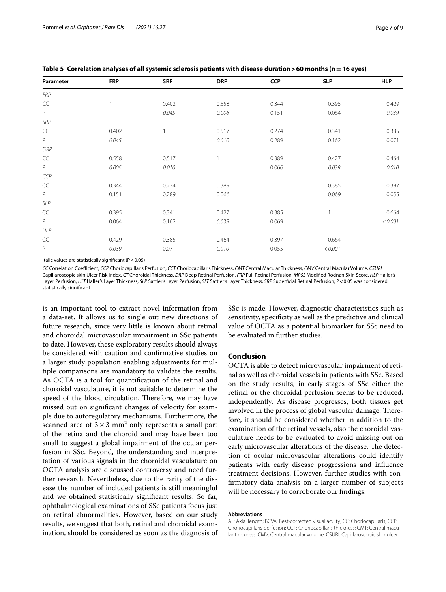<span id="page-6-0"></span>

|  | Table 5 Correlation analyses of all systemic sclerosis patients with disease duration > 60 months ( $n = 16$ eyes) |
|--|--------------------------------------------------------------------------------------------------------------------|
|--|--------------------------------------------------------------------------------------------------------------------|

| Parameter         | <b>FRP</b> | <b>SRP</b> | <b>DRP</b> | <b>CCP</b> | <b>SLP</b> | <b>HLP</b> |
|-------------------|------------|------------|------------|------------|------------|------------|
| <b>FRP</b>        |            |            |            |            |            |            |
| CC                |            | 0.402      | 0.558      | 0.344      | 0.395      | 0.429      |
| $\mathsf P$       |            | 0.045      | 0.006      | 0.151      | 0.064      | 0.039      |
| SRP               |            |            |            |            |            |            |
| $\subset \subset$ | 0.402      |            | 0.517      | 0.274      | 0.341      | 0.385      |
| P                 | 0.045      |            | 0.010      | 0.289      | 0.162      | 0.071      |
| DRP               |            |            |            |            |            |            |
| $\mathsf{CC}$     | 0.558      | 0.517      | 1          | 0.389      | 0.427      | 0.464      |
| $\mathsf P$       | 0.006      | 0.010      |            | 0.066      | 0.039      | 0.010      |
| CCP               |            |            |            |            |            |            |
| CC                | 0.344      | 0.274      | 0.389      |            | 0.385      | 0.397      |
| $\mathsf P$       | 0.151      | 0.289      | 0.066      |            | 0.069      | 0.055      |
| SLP               |            |            |            |            |            |            |
| $\subset \subset$ | 0.395      | 0.341      | 0.427      | 0.385      | 1          | 0.664      |
| P                 | 0.064      | 0.162      | 0.039      | 0.069      |            | < 0.001    |
| <b>HLP</b>        |            |            |            |            |            |            |
| $\subset\subset$  | 0.429      | 0.385      | 0.464      | 0.397      | 0.664      |            |
| P                 | 0.039      | 0.071      | 0.010      | 0.055      | < 0.001    |            |

Italic values are statistically signifcant (P<0.05)

*CC* Correlation Coefcient, *CCP* Choriocapillaris Perfusion, *CCT* Choriocapillaris Thickness, *CMT* Central Macular Thickness, *CMV* Central Macular Volume, *CSURI* Capillaroscopic skin Ulcer Risk Index, *CT* Choroidal Thickness, *DRP* Deep Retinal Perfusion, *FRP* Full Retinal Perfusion, *MRSS* Modifed Rodnan Skin Score, *HLP* Haller's Layer Perfusion, *HLT* Haller's Layer Thickness, *SLP* Sattler's Layer Perfusion, *SLT* Sattler's Layer Thickness, *SRP* Superfcial Retinal Perfusion; P<0.05 was considered statistically significant

is an important tool to extract novel information from a data-set. It allows us to single out new directions of future research, since very little is known about retinal and choroidal microvascular impairment in SSc patients to date. However, these exploratory results should always be considered with caution and confrmative studies on a larger study population enabling adjustments for multiple comparisons are mandatory to validate the results. As OCTA is a tool for quantifcation of the retinal and choroidal vasculature, it is not suitable to determine the speed of the blood circulation. Therefore, we may have missed out on signifcant changes of velocity for example due to autoregulatory mechanisms. Furthermore, the scanned area of  $3 \times 3$  mm<sup>2</sup> only represents a small part of the retina and the choroid and may have been too small to suggest a global impairment of the ocular perfusion in SSc. Beyond, the understanding and interpretation of various signals in the choroidal vasculature on OCTA analysis are discussed controversy and need further research. Nevertheless, due to the rarity of the disease the number of included patients is still meaningful and we obtained statistically signifcant results. So far, ophthalmological examinations of SSc patients focus just on retinal abnormalities. However, based on our study results, we suggest that both, retinal and choroidal examination, should be considered as soon as the diagnosis of

SSc is made. However, diagnostic characteristics such as sensitivity, specificity as well as the predictive and clinical value of OCTA as a potential biomarker for SSc need to be evaluated in further studies.

# **Conclusion**

OCTA is able to detect microvascular impairment of retinal as well as choroidal vessels in patients with SSc. Based on the study results, in early stages of SSc either the retinal or the choroidal perfusion seems to be reduced, independently. As disease progresses, both tissues get involved in the process of global vascular damage. Therefore, it should be considered whether in addition to the examination of the retinal vessels, also the choroidal vasculature needs to be evaluated to avoid missing out on early microvascular alterations of the disease. The detection of ocular microvascular alterations could identify patients with early disease progressions and infuence treatment decisions. However, further studies with confrmatory data analysis on a larger number of subjects will be necessary to corroborate our fndings.

#### **Abbreviations**

AL: Axial length; BCVA: Best-corrected visual acuity; CC: Choriocapillaris; CCP: Choriocapillaris perfusion; CCT: Choriocapillaris thickness; CMT: Central macular thickness; CMV: Central macular volume; CSURI: Capillaroscopic skin ulcer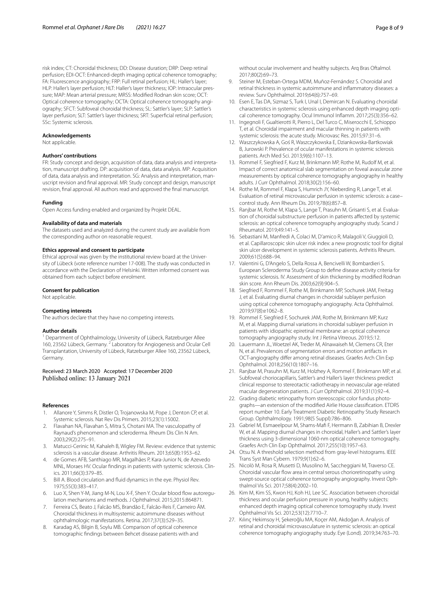risk index; CT: Choroidal thickness; DD: Disease duration; DRP: Deep retinal perfusion; EDI-OCT: Enhanced-depth imaging optical coherence tomography; FA: Fluorescence angiography; FRP: Full retinal perfusion; HL: Haller's layer; HLP: Haller's layer perfusion; HLT: Haller's layer thickness; IOP: Intraocular pressure; MAP: Mean arterial pressure; MRSS: Modifed Rodnan skin score; OCT: Optical coherence tomography; OCTA: Optical coherence tomography angiography; SFCT: Subfoveal choroidal thickness; SL: Sattler's layer; SLP: Sattler's layer perfusion; SLT: Sattler's layer thickness; SRT: Superficial retinal perfusion; SSc: Systemic sclerosis.

#### **Acknowledgements**

Not applicable.

#### **Authors' contributions**

FR: Study concept and design, acquisition of data, data analysis and interpretation, manuscript drafting. DP: acquisition of data, data analysis. MP: Acquisition of data, data analysis and interpretation. SG: Analysis and interpretation, manuscript revision and fnal approval. MR: Study concept and design, manuscript revision, fnal approval. All authors read and approved the fnal manuscript.

#### **Funding**

Open Access funding enabled and organized by Projekt DEAL.

#### **Availability of data and materials**

The datasets used and analyzed during the current study are available from the corresponding author on reasonable request.

#### **Ethics approval and consent to participate**

Ethical approval was given by the institutional review board at the University of Lübeck (vote reference number 17-008). The study was conducted in accordance with the Declaration of Helsinki. Written informed consent was obtained from each subject before enrolment.

#### **Consent for publication**

Not applicable.

## **Competing interests**

The authors declare that they have no competing interests.

#### **Author details**

<sup>1</sup> Department of Ophthalmology, University of Lübeck, Ratzeburger Allee 160, 23562 Lübeck, Germany. <sup>2</sup> Laboratory for Angiogenesis and Ocular Cell Transplantation, University of Lübeck, Ratzeburger Allee 160, 23562 Lübeck, Germany.

Received: 23 March 2020 Accepted: 17 December 2020 Published online: 13 January 2021

#### **References**

- <span id="page-7-0"></span>1. Allanore Y, Simms R, Distler O, Trojanowska M, Pope J, Denton CP, et al. Systemic sclerosis. Nat Rev Dis Primers. 2015;23(1):15002.
- <span id="page-7-1"></span>2. Flavahan NA, Flavahan S, Mitra S, Chotani MA. The vasculopathy of Raynaud's phenomenon and scleroderma. Rheum Dis Clin N Am. 2003;29(2):275–91.
- <span id="page-7-2"></span>3. Matucci-Cerinic M, Kahaleh B, Wigley FM. Review: evidence that systemic sclerosis is a vascular disease. Arthritis Rheum. 2013;65(8):1953–62.
- <span id="page-7-3"></span>4. de Gomes AFB, Santhiago MR, Magalhães P, Kara-Junior N, de Azevedo MNL, Moraes HV. Ocular fndings in patients with systemic sclerosis. Clinics. 2011;66(3):379–85.
- <span id="page-7-4"></span>5. Bill A. Blood circulation and fuid dynamics in the eye. Physiol Rev. 1975;55(3):383–417.
- <span id="page-7-5"></span>6. Luo X, Shen Y-M, Jiang M-N, Lou X-F, Shen Y. Ocular blood flow autoregulation mechanisms and methods. J Ophthalmol. 2015;2015:864871.
- <span id="page-7-6"></span>7. Ferreira CS, Beato J, Falcão MS, Brandão E, Falcão-Reis F, Carneiro ÂM. Choroidal thickness in multisystemic autoimmune diseases without ophthalmologic manifestations. Retina. 2017;37(3):529–35.
- 8. Karadag AS, Bilgin B, Soylu MB. Comparison of optical coherence tomographic fndings between Behcet disease patients with and
- <span id="page-7-7"></span>9. Steiner M, Esteban-Ortega MDM, Muñoz-Fernández S. Choroidal and retinal thickness in systemic autoimmune and infammatory diseases: a review. Surv Ophthalmol. 2019;64(6):757–69.
- <span id="page-7-8"></span>10. Esen E, Tas DA, Sizmaz S, Turk I, Unal I, Demircan N. Evaluating choroidal characteristics in systemic sclerosis using enhanced depth imaging optical coherence tomography. Ocul Immunol Infamm. 2017;25(3):356–62.
- 11. Ingegnoli F, Gualtierotti R, Pierro L, Del Turco C, Miserocchi E, Schioppo T, et al. Choroidal impairment and macular thinning in patients with systemic sclerosis: the acute study. Microvasc Res. 2015;97:31–6.
- <span id="page-7-9"></span>12. Waszczykowska A, Goś R, Waszczykowska E, Dziankowska-Bartkowiak B, Jurowski P. Prevalence of ocular manifestations in systemic sclerosis patients. Arch Med Sci. 2013;9(6):1107–13.
- <span id="page-7-10"></span>13. Rommel F, Siegfried F, Kurz M, Brinkmann MP, Rothe M, Rudolf M, et al. Impact of correct anatomical slab segmentation on foveal avascular zone measurements by optical coherence tomography angiography in healthy adults. J Curr Ophthalmol. 2018;30(2):156–60.
- <span id="page-7-11"></span>14. Rothe M, Rommel F, Klapa S, Humrich JY, Nieberding R, Lange T, et al. Evaluation of retinal microvascular perfusion in systemic sclerosis: a case– control study. Ann Rheum Dis. 2019;78(6):857–8.
- <span id="page-7-12"></span>15. Ranjbar M, Rothe M, Klapa S, Lange T, Prasuhn M, Grisanti S, et al. Evaluation of choroidal substructure perfusion in patients afected by systemic sclerosis: an optical coherence tomography angiography study. Scand J Rheumatol. 2019;49:141–5.
- <span id="page-7-13"></span>16. Sebastiani M, Manfredi A, Colaci M, D'amico R, Malagoli V, Giuggioli D, et al. Capillaroscopic skin ulcer risk index: a new prognostic tool for digital skin ulcer development in systemic sclerosis patients. Arthritis Rheum. 2009;61(5):688–94.
- <span id="page-7-14"></span>17. Valentini G, D'Angelo S, Della Rossa A, Bencivelli W, Bombardieri S. European Scleroderma Study Group to defne disease activity criteria for systemic sclerosis. IV. Assessment of skin thickening by modifed Rodnan skin score. Ann Rheum Dis. 2003;62(9):904–5.
- <span id="page-7-15"></span>18. Siegfried F, Rommel F, Rothe M, Brinkmann MP, Sochurek JAM, Freitag J, et al. Evaluating diurnal changes in choroidal sublayer perfusion using optical coherence tomography angiography. Acta Ophthalmol. 2019;97(8):e1062–8.
- <span id="page-7-16"></span>19. Rommel F, Siegfried F, Sochurek JAM, Rothe M, Brinkmann MP, Kurz M, et al. Mapping diurnal variations in choroidal sublayer perfusion in patients with idiopathic epiretinal membrane: an optical coherence tomography angiography study. Int J Retina Vitreous. 2019;5:12.
- <span id="page-7-17"></span>20. Lauermann JL, Woetzel AK, Treder M, Alnawaiseh M, Clemens CR, Eter N, et al. Prevalences of segmentation errors and motion artifacts in OCT-angiography difer among retinal diseases. Graefes Arch Clin Exp Ophthalmol. 2018;256(10):1807–16.
- <span id="page-7-18"></span>21. Ranjbar M, Prasuhn M, Kurz M, Holzhey A, Rommel F, Brinkmann MP, et al. Subfoveal choriocapillaris, Sattler's and Haller's layer thickness predict clinical response to stereotactic radiotherapy in neovascular age-related macular degeneration patients. J Curr Ophthalmol. 2019;31(1):92–4.
- <span id="page-7-19"></span>22. Grading diabetic retinopathy from stereoscopic color fundus photographs—an extension of the modifed Airlie House classifcation. ETDRS report number 10. Early Treatment Diabetic Retinopathy Study Research Group. Ophthalmology. 1991;98(5 Suppl):786–806.
- <span id="page-7-20"></span>23. Gabriel M, Esmaeelpour M, Shams-Maf F, Hermann B, Zabihian B, Drexler W, et al. Mapping diurnal changes in choroidal, Haller's and Sattler's layer thickness using 3-dimensional 1060-nm optical coherence tomography. Graefes Arch Clin Exp Ophthalmol. 2017;255(10):1957–63.
- <span id="page-7-21"></span>24. Otsu N. A threshold selection method from gray-level histograms. IEEE Trans Syst Man Cybern. 1979;9(1):62–6.
- <span id="page-7-22"></span>25. Nicolò M, Rosa R, Musetti D, Musolino M, Saccheggiani M, Traverso CE. Choroidal vascular fow area in central serous chorioretinopathy using swept-source optical coherence tomography angiography. Invest Ophthalmol Vis Sci. 2017;58(4):2002–10.
- <span id="page-7-23"></span>26. Kim M, Kim SS, Kwon HJ, Koh HJ, Lee SC. Association between choroidal thickness and ocular perfusion pressure in young, healthy subjects: enhanced depth imaging optical coherence tomography study. Invest Ophthalmol Vis Sci. 2012;53(12):7710–7.
- <span id="page-7-24"></span>27. Kılınç Hekimsoy H, Şekeroğlu MA, Koçer AM, Akdoğan A. Analysis of retinal and choroidal microvasculature in systemic sclerosis: an optical coherence tomography angiography study. Eye (Lond). 2019;34:763–70.